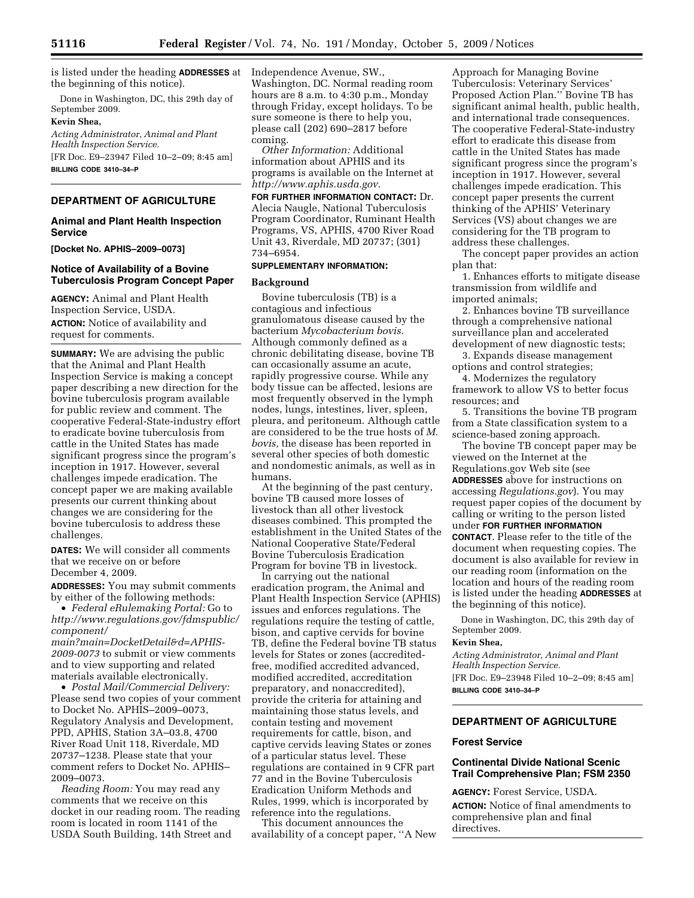is listed under the heading **ADDRESSES** at the beginning of this notice).

Done in Washington, DC, this 29th day of September 2009.

#### **Kevin Shea,**

*Acting Administrator, Animal and Plant Health Inspection Service.*  [FR Doc. E9–23947 Filed 10–2–09; 8:45 am] **BILLING CODE 3410–34–P** 

# **DEPARTMENT OF AGRICULTURE**

### **Animal and Plant Health Inspection Service**

**[Docket No. APHIS–2009–0073]** 

### **Notice of Availability of a Bovine Tuberculosis Program Concept Paper**

**AGENCY:** Animal and Plant Health Inspection Service, USDA. **ACTION:** Notice of availability and request for comments.

**SUMMARY:** We are advising the public that the Animal and Plant Health Inspection Service is making a concept paper describing a new direction for the bovine tuberculosis program available for public review and comment. The cooperative Federal-State-industry effort to eradicate bovine tuberculosis from cattle in the United States has made significant progress since the program's inception in 1917. However, several challenges impede eradication. The concept paper we are making available presents our current thinking about changes we are considering for the bovine tuberculosis to address these challenges.

**DATES:** We will consider all comments that we receive on or before December 4, 2009.

**ADDRESSES:** You may submit comments by either of the following methods:

• *Federal eRulemaking Portal:* Go to *http://www.regulations.gov/fdmspublic/ component/* 

*main?main=DocketDetail&d=APHIS-2009-0073* to submit or view comments and to view supporting and related materials available electronically.

• *Postal Mail/Commercial Delivery:*  Please send two copies of your comment to Docket No. APHIS–2009–0073, Regulatory Analysis and Development, PPD, APHIS, Station 3A–03.8, 4700 River Road Unit 118, Riverdale, MD 20737–1238. Please state that your comment refers to Docket No. APHIS– 2009–0073.

*Reading Room:* You may read any comments that we receive on this docket in our reading room. The reading room is located in room 1141 of the USDA South Building, 14th Street and

Independence Avenue, SW., Washington, DC. Normal reading room hours are 8 a.m. to 4:30 p.m., Monday through Friday, except holidays. To be sure someone is there to help you, please call (202) 690–2817 before coming.

*Other Information:* Additional information about APHIS and its programs is available on the Internet at *http://www.aphis.usda.gov.* 

**FOR FURTHER INFORMATION CONTACT:** Dr. Alecia Naugle, National Tuberculosis Program Coordinator, Ruminant Health Programs, VS, APHIS, 4700 River Road Unit 43, Riverdale, MD 20737; (301) 734–6954.

# **SUPPLEMENTARY INFORMATION:**

#### **Background**

Bovine tuberculosis (TB) is a contagious and infectious granulomatous disease caused by the bacterium *Mycobacterium bovis.*  Although commonly defined as a chronic debilitating disease, bovine TB can occasionally assume an acute, rapidly progressive course. While any body tissue can be affected, lesions are most frequently observed in the lymph nodes, lungs, intestines, liver, spleen, pleura, and peritoneum. Although cattle are considered to be the true hosts of *M. bovis,* the disease has been reported in several other species of both domestic and nondomestic animals, as well as in humans.

At the beginning of the past century, bovine TB caused more losses of livestock than all other livestock diseases combined. This prompted the establishment in the United States of the National Cooperative State/Federal Bovine Tuberculosis Eradication Program for bovine TB in livestock.

In carrying out the national eradication program, the Animal and Plant Health Inspection Service (APHIS) issues and enforces regulations. The regulations require the testing of cattle, bison, and captive cervids for bovine TB, define the Federal bovine TB status levels for States or zones (accreditedfree, modified accredited advanced, modified accredited, accreditation preparatory, and nonaccredited), provide the criteria for attaining and maintaining those status levels, and contain testing and movement requirements for cattle, bison, and captive cervids leaving States or zones of a particular status level. These regulations are contained in 9 CFR part 77 and in the Bovine Tuberculosis Eradication Uniform Methods and Rules, 1999, which is incorporated by reference into the regulations.

This document announces the availability of a concept paper, ''A New

Approach for Managing Bovine Tuberculosis: Veterinary Services' Proposed Action Plan.'' Bovine TB has significant animal health, public health, and international trade consequences. The cooperative Federal-State-industry effort to eradicate this disease from cattle in the United States has made significant progress since the program's inception in 1917. However, several challenges impede eradication. This concept paper presents the current thinking of the APHIS' Veterinary Services (VS) about changes we are considering for the TB program to address these challenges.

The concept paper provides an action plan that:

1. Enhances efforts to mitigate disease transmission from wildlife and imported animals;

2. Enhances bovine TB surveillance through a comprehensive national surveillance plan and accelerated development of new diagnostic tests;

3. Expands disease management options and control strategies;

4. Modernizes the regulatory framework to allow VS to better focus resources; and

5. Transitions the bovine TB program from a State classification system to a science-based zoning approach.

The bovine TB concept paper may be viewed on the Internet at the Regulations.gov Web site (see **ADDRESSES** above for instructions on accessing *Regulations.gov*). You may request paper copies of the document by calling or writing to the person listed under **FOR FURTHER INFORMATION CONTACT**. Please refer to the title of the document when requesting copies. The document is also available for review in our reading room (information on the location and hours of the reading room is listed under the heading **ADDRESSES** at the beginning of this notice).

Done in Washington, DC, this 29th day of September 2009.

#### **Kevin Shea,**

*Acting Administrator, Animal and Plant Health Inspection Service.* 

[FR Doc. E9–23948 Filed 10–2–09; 8:45 am] **BILLING CODE 3410–34–P** 

### **DEPARTMENT OF AGRICULTURE**

#### **Forest Service**

### **Continental Divide National Scenic Trail Comprehensive Plan; FSM 2350**

**AGENCY:** Forest Service, USDA. **ACTION:** Notice of final amendments to comprehensive plan and final directives.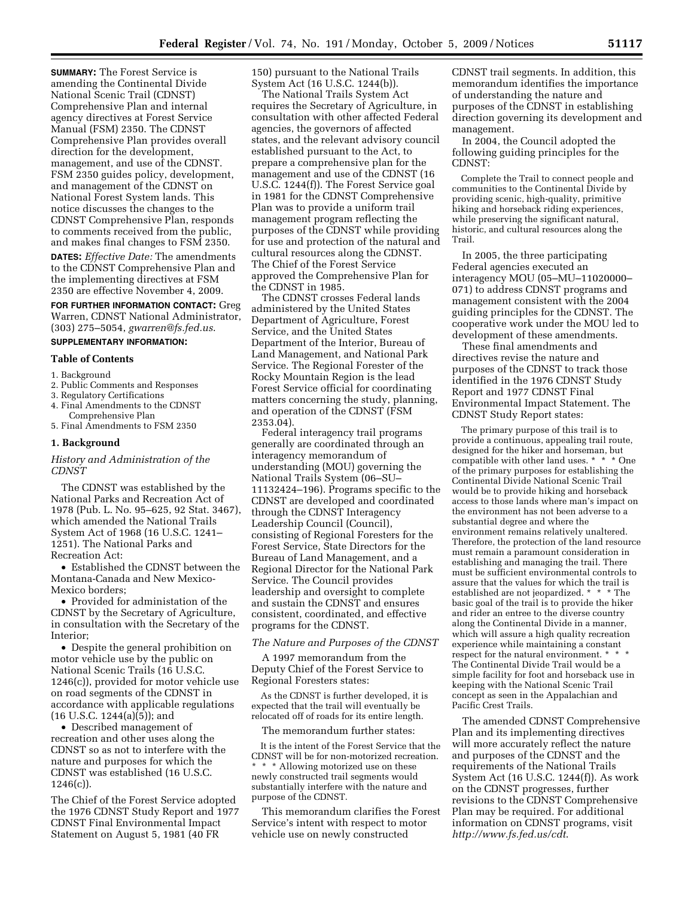**SUMMARY:** The Forest Service is amending the Continental Divide National Scenic Trail (CDNST) Comprehensive Plan and internal agency directives at Forest Service Manual (FSM) 2350. The CDNST Comprehensive Plan provides overall direction for the development, management, and use of the CDNST. FSM 2350 guides policy, development, and management of the CDNST on National Forest System lands. This notice discusses the changes to the CDNST Comprehensive Plan, responds to comments received from the public, and makes final changes to FSM 2350.

**DATES:** *Effective Date:* The amendments to the CDNST Comprehensive Plan and the implementing directives at FSM 2350 are effective November 4, 2009.

**FOR FURTHER INFORMATION CONTACT:** Greg Warren, CDNST National Administrator, (303) 275–5054, *gwarren@fs.fed.us*.

# **SUPPLEMENTARY INFORMATION:**

#### **Table of Contents**

- 1. Background
- 2. Public Comments and Responses
- 3. Regulatory Certifications
- 4. Final Amendments to the CDNST
- Comprehensive Plan 5. Final Amendments to FSM 2350

#### **1. Background**

#### *History and Administration of the CDNST*

The CDNST was established by the National Parks and Recreation Act of 1978 (Pub. L. No. 95–625, 92 Stat. 3467), which amended the National Trails System Act of 1968 (16 U.S.C. 1241– 1251). The National Parks and Recreation Act:

• Established the CDNST between the Montana-Canada and New Mexico-Mexico borders;

• Provided for administation of the CDNST by the Secretary of Agriculture, in consultation with the Secretary of the Interior;

• Despite the general prohibition on motor vehicle use by the public on National Scenic Trails (16 U.S.C. 1246(c)), provided for motor vehicle use on road segments of the CDNST in accordance with applicable regulations (16 U.S.C. 1244(a)(5)); and

• Described management of recreation and other uses along the CDNST so as not to interfere with the nature and purposes for which the CDNST was established (16 U.S.C.  $1246(c)$ ).

The Chief of the Forest Service adopted the 1976 CDNST Study Report and 1977 CDNST Final Environmental Impact Statement on August 5, 1981 (40 FR

150) pursuant to the National Trails System Act (16 U.S.C. 1244(b)).

The National Trails System Act requires the Secretary of Agriculture, in consultation with other affected Federal agencies, the governors of affected states, and the relevant advisory council established pursuant to the Act, to prepare a comprehensive plan for the management and use of the CDNST (16 U.S.C. 1244(f)). The Forest Service goal in 1981 for the CDNST Comprehensive Plan was to provide a uniform trail management program reflecting the purposes of the CDNST while providing for use and protection of the natural and cultural resources along the CDNST. The Chief of the Forest Service approved the Comprehensive Plan for the CDNST in 1985.

The CDNST crosses Federal lands administered by the United States Department of Agriculture, Forest Service, and the United States Department of the Interior, Bureau of Land Management, and National Park Service. The Regional Forester of the Rocky Mountain Region is the lead Forest Service official for coordinating matters concerning the study, planning, and operation of the CDNST (FSM 2353.04).

Federal interagency trail programs generally are coordinated through an interagency memorandum of understanding (MOU) governing the National Trails System (06–SU– 11132424–196). Programs specific to the CDNST are developed and coordinated through the CDNST Interagency Leadership Council (Council), consisting of Regional Foresters for the Forest Service, State Directors for the Bureau of Land Management, and a Regional Director for the National Park Service. The Council provides leadership and oversight to complete and sustain the CDNST and ensures consistent, coordinated, and effective programs for the CDNST.

#### *The Nature and Purposes of the CDNST*

A 1997 memorandum from the Deputy Chief of the Forest Service to Regional Foresters states:

As the CDNST is further developed, it is expected that the trail will eventually be relocated off of roads for its entire length.

The memorandum further states:

It is the intent of the Forest Service that the CDNST will be for non-motorized recreation. \* \* \* Allowing motorized use on these newly constructed trail segments would substantially interfere with the nature and purpose of the CDNST.

This memorandum clarifies the Forest Service's intent with respect to motor vehicle use on newly constructed

CDNST trail segments. In addition, this memorandum identifies the importance of understanding the nature and purposes of the CDNST in establishing direction governing its development and management.

In 2004, the Council adopted the following guiding principles for the CDNST:

Complete the Trail to connect people and communities to the Continental Divide by providing scenic, high-quality, primitive hiking and horseback riding experiences, while preserving the significant natural, historic, and cultural resources along the Trail.

In 2005, the three participating Federal agencies executed an interagency MOU (05–MU–11020000– 071) to address CDNST programs and management consistent with the 2004 guiding principles for the CDNST. The cooperative work under the MOU led to development of these amendments.

These final amendments and directives revise the nature and purposes of the CDNST to track those identified in the 1976 CDNST Study Report and 1977 CDNST Final Environmental Impact Statement. The CDNST Study Report states:

The primary purpose of this trail is to provide a continuous, appealing trail route, designed for the hiker and horseman, but compatible with other land uses. \* \* \* One of the primary purposes for establishing the Continental Divide National Scenic Trail would be to provide hiking and horseback access to those lands where man's impact on the environment has not been adverse to a substantial degree and where the environment remains relatively unaltered. Therefore, the protection of the land resource must remain a paramount consideration in establishing and managing the trail. There must be sufficient environmental controls to assure that the values for which the trail is established are not jeopardized. \* \* \* The basic goal of the trail is to provide the hiker and rider an entree to the diverse country along the Continental Divide in a manner, which will assure a high quality recreation experience while maintaining a constant respect for the natural environment. \* \* \* The Continental Divide Trail would be a simple facility for foot and horseback use in keeping with the National Scenic Trail concept as seen in the Appalachian and Pacific Crest Trails.

The amended CDNST Comprehensive Plan and its implementing directives will more accurately reflect the nature and purposes of the CDNST and the requirements of the National Trails System Act (16 U.S.C. 1244(f)). As work on the CDNST progresses, further revisions to the CDNST Comprehensive Plan may be required. For additional information on CDNST programs, visit *http://www.fs.fed.us/cdt*.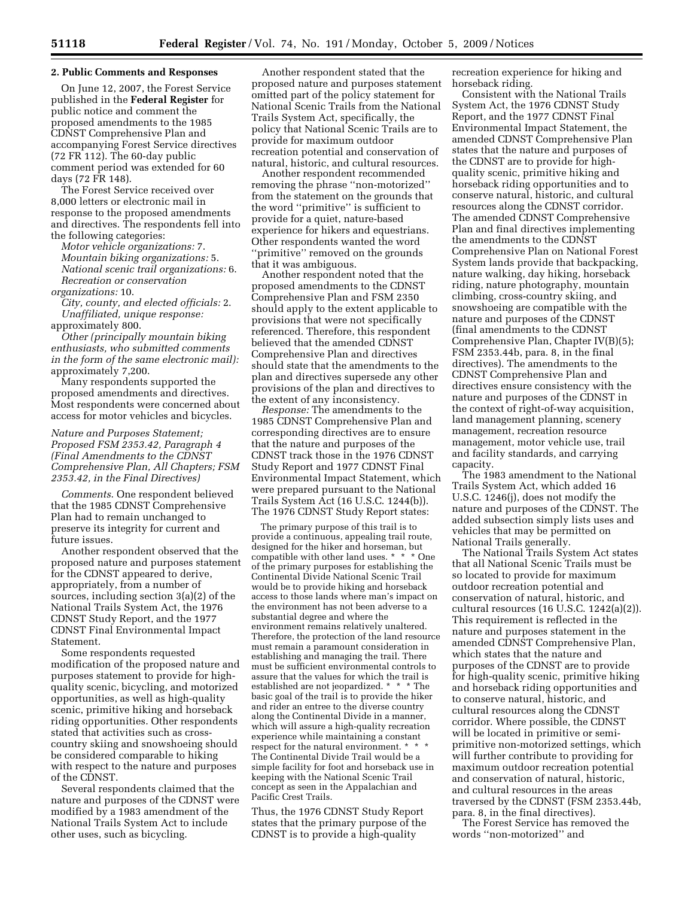### **2. Public Comments and Responses**

On June 12, 2007, the Forest Service published in the **Federal Register** for public notice and comment the proposed amendments to the 1985 CDNST Comprehensive Plan and accompanying Forest Service directives (72 FR 112). The 60-day public comment period was extended for 60 days (72 FR 148).

The Forest Service received over 8,000 letters or electronic mail in response to the proposed amendments and directives. The respondents fell into the following categories:

*Motor vehicle organizations:* 7. *Mountain biking organizations:* 5. *National scenic trail organizations:* 6. *Recreation or conservation* 

*organizations:* 10. *City, county, and elected officials:* 2. *Unaffiliated, unique response:*  approximately 800.

*Other (principally mountain biking enthusiasts, who submitted comments in the form of the same electronic mail):*  approximately 7,200.

Many respondents supported the proposed amendments and directives. Most respondents were concerned about access for motor vehicles and bicycles.

*Nature and Purposes Statement; Proposed FSM 2353.42, Paragraph 4 (Final Amendments to the CDNST Comprehensive Plan, All Chapters; FSM 2353.42, in the Final Directives)* 

*Comments*. One respondent believed that the 1985 CDNST Comprehensive Plan had to remain unchanged to preserve its integrity for current and future issues.

Another respondent observed that the proposed nature and purposes statement for the CDNST appeared to derive, appropriately, from a number of sources, including section 3(a)(2) of the National Trails System Act, the 1976 CDNST Study Report, and the 1977 CDNST Final Environmental Impact Statement.

Some respondents requested modification of the proposed nature and purposes statement to provide for highquality scenic, bicycling, and motorized opportunities, as well as high-quality scenic, primitive hiking and horseback riding opportunities. Other respondents stated that activities such as crosscountry skiing and snowshoeing should be considered comparable to hiking with respect to the nature and purposes of the CDNST.

Several respondents claimed that the nature and purposes of the CDNST were modified by a 1983 amendment of the National Trails System Act to include other uses, such as bicycling.

Another respondent stated that the proposed nature and purposes statement omitted part of the policy statement for National Scenic Trails from the National Trails System Act, specifically, the policy that National Scenic Trails are to provide for maximum outdoor recreation potential and conservation of natural, historic, and cultural resources.

Another respondent recommended removing the phrase ''non-motorized'' from the statement on the grounds that the word ''primitive'' is sufficient to provide for a quiet, nature-based experience for hikers and equestrians. Other respondents wanted the word ''primitive'' removed on the grounds that it was ambiguous.

Another respondent noted that the proposed amendments to the CDNST Comprehensive Plan and FSM 2350 should apply to the extent applicable to provisions that were not specifically referenced. Therefore, this respondent believed that the amended CDNST Comprehensive Plan and directives should state that the amendments to the plan and directives supersede any other provisions of the plan and directives to the extent of any inconsistency.

*Response:* The amendments to the 1985 CDNST Comprehensive Plan and corresponding directives are to ensure that the nature and purposes of the CDNST track those in the 1976 CDNST Study Report and 1977 CDNST Final Environmental Impact Statement, which were prepared pursuant to the National Trails System Act (16 U.S.C. 1244(b)). The 1976 CDNST Study Report states:

The primary purpose of this trail is to provide a continuous, appealing trail route, designed for the hiker and horseman, but compatible with other land uses. \* \* \* One of the primary purposes for establishing the Continental Divide National Scenic Trail would be to provide hiking and horseback access to those lands where man's impact on the environment has not been adverse to a substantial degree and where the environment remains relatively unaltered. Therefore, the protection of the land resource must remain a paramount consideration in establishing and managing the trail. There must be sufficient environmental controls to assure that the values for which the trail is established are not jeopardized. \* \* \* The basic goal of the trail is to provide the hiker and rider an entree to the diverse country along the Continental Divide in a manner, which will assure a high-quality recreation experience while maintaining a constant respect for the natural environment. \* \* \* The Continental Divide Trail would be a simple facility for foot and horseback use in keeping with the National Scenic Trail concept as seen in the Appalachian and Pacific Crest Trails.

Thus, the 1976 CDNST Study Report states that the primary purpose of the CDNST is to provide a high-quality

recreation experience for hiking and horseback riding.

Consistent with the National Trails System Act, the 1976 CDNST Study Report, and the 1977 CDNST Final Environmental Impact Statement, the amended CDNST Comprehensive Plan states that the nature and purposes of the CDNST are to provide for highquality scenic, primitive hiking and horseback riding opportunities and to conserve natural, historic, and cultural resources along the CDNST corridor. The amended CDNST Comprehensive Plan and final directives implementing the amendments to the CDNST Comprehensive Plan on National Forest System lands provide that backpacking, nature walking, day hiking, horseback riding, nature photography, mountain climbing, cross-country skiing, and snowshoeing are compatible with the nature and purposes of the CDNST (final amendments to the CDNST Comprehensive Plan, Chapter IV(B)(5); FSM 2353.44b, para. 8, in the final directives). The amendments to the CDNST Comprehensive Plan and directives ensure consistency with the nature and purposes of the CDNST in the context of right-of-way acquisition, land management planning, scenery management, recreation resource management, motor vehicle use, trail and facility standards, and carrying capacity.

The 1983 amendment to the National Trails System Act, which added 16 U.S.C. 1246(j), does not modify the nature and purposes of the CDNST. The added subsection simply lists uses and vehicles that may be permitted on National Trails generally.

The National Trails System Act states that all National Scenic Trails must be so located to provide for maximum outdoor recreation potential and conservation of natural, historic, and cultural resources (16 U.S.C. 1242(a)(2)). This requirement is reflected in the nature and purposes statement in the amended CDNST Comprehensive Plan, which states that the nature and purposes of the CDNST are to provide for high-quality scenic, primitive hiking and horseback riding opportunities and to conserve natural, historic, and cultural resources along the CDNST corridor. Where possible, the CDNST will be located in primitive or semiprimitive non-motorized settings, which will further contribute to providing for maximum outdoor recreation potential and conservation of natural, historic, and cultural resources in the areas traversed by the CDNST (FSM 2353.44b, para. 8, in the final directives).

The Forest Service has removed the words ''non-motorized'' and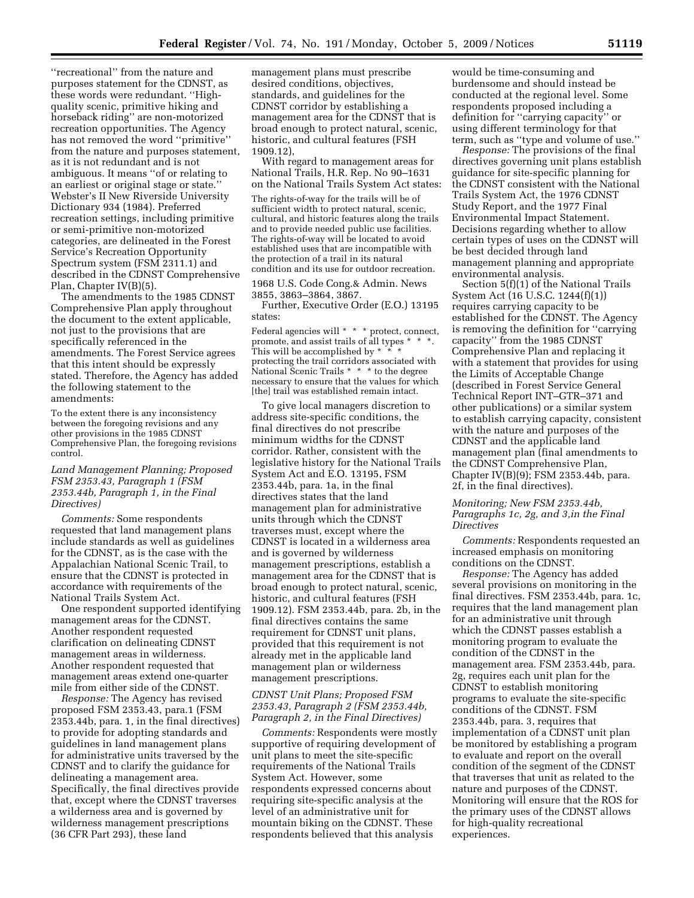''recreational'' from the nature and purposes statement for the CDNST, as these words were redundant. ''Highquality scenic, primitive hiking and horseback riding'' are non-motorized recreation opportunities. The Agency has not removed the word ''primitive'' from the nature and purposes statement, as it is not redundant and is not ambiguous. It means ''of or relating to an earliest or original stage or state.'' Webster's II New Riverside University Dictionary 934 (1984). Preferred recreation settings, including primitive or semi-primitive non-motorized categories, are delineated in the Forest Service's Recreation Opportunity Spectrum system (FSM 2311.1) and described in the CDNST Comprehensive Plan, Chapter IV(B)(5).

The amendments to the 1985 CDNST Comprehensive Plan apply throughout the document to the extent applicable, not just to the provisions that are specifically referenced in the amendments. The Forest Service agrees that this intent should be expressly stated. Therefore, the Agency has added the following statement to the amendments:

To the extent there is any inconsistency between the foregoing revisions and any other provisions in the 1985 CDNST Comprehensive Plan, the foregoing revisions control.

### *Land Management Planning; Proposed FSM 2353.43, Paragraph 1 (FSM 2353.44b, Paragraph 1, in the Final Directives)*

*Comments:* Some respondents requested that land management plans include standards as well as guidelines for the CDNST, as is the case with the Appalachian National Scenic Trail, to ensure that the CDNST is protected in accordance with requirements of the National Trails System Act.

One respondent supported identifying management areas for the CDNST. Another respondent requested clarification on delineating CDNST management areas in wilderness. Another respondent requested that management areas extend one-quarter mile from either side of the CDNST.

*Response:* The Agency has revised proposed FSM 2353.43, para.1 (FSM 2353.44b, para. 1, in the final directives) to provide for adopting standards and guidelines in land management plans for administrative units traversed by the CDNST and to clarify the guidance for delineating a management area. Specifically, the final directives provide that, except where the CDNST traverses a wilderness area and is governed by wilderness management prescriptions (36 CFR Part 293), these land

management plans must prescribe desired conditions, objectives, standards, and guidelines for the CDNST corridor by establishing a management area for the CDNST that is broad enough to protect natural, scenic, historic, and cultural features (FSH 1909.12),

With regard to management areas for National Trails, H.R. Rep. No 90–1631 on the National Trails System Act states:

The rights-of-way for the trails will be of sufficient width to protect natural, scenic, cultural, and historic features along the trails and to provide needed public use facilities. The rights-of-way will be located to avoid established uses that are incompatible with the protection of a trail in its natural condition and its use for outdoor recreation. 1968 U.S. Code Cong.& Admin. News

3855, 3863–3864, 3867.

Further, Executive Order (E.O.) 13195 states:

Federal agencies will \* \* \* protect, connect, promote, and assist trails of all types \* \* \*. This will be accomplished by \* \* \* protecting the trail corridors associated with National Scenic Trails \* \* \* to the degree necessary to ensure that the values for which [the] trail was established remain intact.

To give local managers discretion to address site-specific conditions, the final directives do not prescribe minimum widths for the CDNST corridor. Rather, consistent with the legislative history for the National Trails System Act and E.O. 13195, FSM 2353.44b, para. 1a, in the final directives states that the land management plan for administrative units through which the CDNST traverses must, except where the CDNST is located in a wilderness area and is governed by wilderness management prescriptions, establish a management area for the CDNST that is broad enough to protect natural, scenic, historic, and cultural features (FSH 1909.12). FSM 2353.44b, para. 2b, in the final directives contains the same requirement for CDNST unit plans, provided that this requirement is not already met in the applicable land management plan or wilderness management prescriptions.

### *CDNST Unit Plans; Proposed FSM 2353.43, Paragraph 2 (FSM 2353.44b, Paragraph 2, in the Final Directives)*

*Comments:* Respondents were mostly supportive of requiring development of unit plans to meet the site-specific requirements of the National Trails System Act. However, some respondents expressed concerns about requiring site-specific analysis at the level of an administrative unit for mountain biking on the CDNST. These respondents believed that this analysis

would be time-consuming and burdensome and should instead be conducted at the regional level. Some respondents proposed including a definition for ''carrying capacity'' or using different terminology for that term, such as ''type and volume of use.''

*Response:* The provisions of the final directives governing unit plans establish guidance for site-specific planning for the CDNST consistent with the National Trails System Act, the 1976 CDNST Study Report, and the 1977 Final Environmental Impact Statement. Decisions regarding whether to allow certain types of uses on the CDNST will be best decided through land management planning and appropriate environmental analysis.

Section 5(f)(1) of the National Trails System Act (16 U.S.C. 1244(f)(1)) requires carrying capacity to be established for the CDNST. The Agency is removing the definition for ''carrying capacity'' from the 1985 CDNST Comprehensive Plan and replacing it with a statement that provides for using the Limits of Acceptable Change (described in Forest Service General Technical Report INT–GTR–371 and other publications) or a similar system to establish carrying capacity, consistent with the nature and purposes of the CDNST and the applicable land management plan (final amendments to the CDNST Comprehensive Plan, Chapter IV(B)(9); FSM 2353.44b, para. 2f, in the final directives).

## *Monitoring; New FSM 2353.44b, Paragraphs 1c, 2g, and 3,in the Final Directives*

*Comments:* Respondents requested an increased emphasis on monitoring conditions on the CDNST.

*Response:* The Agency has added several provisions on monitoring in the final directives. FSM 2353.44b, para. 1c, requires that the land management plan for an administrative unit through which the CDNST passes establish a monitoring program to evaluate the condition of the CDNST in the management area. FSM 2353.44b, para. 2g, requires each unit plan for the CDNST to establish monitoring programs to evaluate the site-specific conditions of the CDNST. FSM 2353.44b, para. 3, requires that implementation of a CDNST unit plan be monitored by establishing a program to evaluate and report on the overall condition of the segment of the CDNST that traverses that unit as related to the nature and purposes of the CDNST. Monitoring will ensure that the ROS for the primary uses of the CDNST allows for high-quality recreational experiences.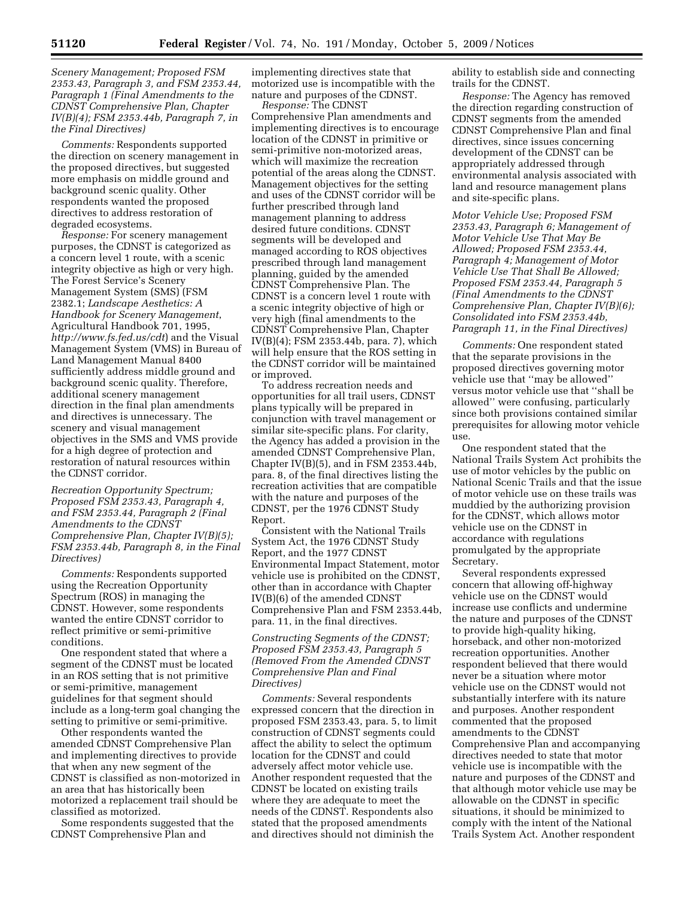*Scenery Management; Proposed FSM 2353.43, Paragraph 3, and FSM 2353.44, Paragraph 1 (Final Amendments to the CDNST Comprehensive Plan, Chapter IV(B)(4); FSM 2353.44b, Paragraph 7, in the Final Directives)* 

*Comments:* Respondents supported the direction on scenery management in the proposed directives, but suggested more emphasis on middle ground and background scenic quality. Other respondents wanted the proposed directives to address restoration of degraded ecosystems.

*Response:* For scenery management purposes, the CDNST is categorized as a concern level 1 route, with a scenic integrity objective as high or very high. The Forest Service's Scenery Management System (SMS) (FSM 2382.1; *Landscape Aesthetics: A Handbook for Scenery Management*, Agricultural Handbook 701, 1995, *http://www.fs.fed.us/cdt*) and the Visual Management System (VMS) in Bureau of Land Management Manual 8400 sufficiently address middle ground and background scenic quality. Therefore, additional scenery management direction in the final plan amendments and directives is unnecessary. The scenery and visual management objectives in the SMS and VMS provide for a high degree of protection and restoration of natural resources within the CDNST corridor.

*Recreation Opportunity Spectrum; Proposed FSM 2353.43, Paragraph 4, and FSM 2353.44, Paragraph 2 (Final Amendments to the CDNST Comprehensive Plan, Chapter IV(B)(5); FSM 2353.44b, Paragraph 8, in the Final Directives)* 

*Comments:* Respondents supported using the Recreation Opportunity Spectrum (ROS) in managing the CDNST. However, some respondents wanted the entire CDNST corridor to reflect primitive or semi-primitive conditions.

One respondent stated that where a segment of the CDNST must be located in an ROS setting that is not primitive or semi-primitive, management guidelines for that segment should include as a long-term goal changing the setting to primitive or semi-primitive.

Other respondents wanted the amended CDNST Comprehensive Plan and implementing directives to provide that when any new segment of the CDNST is classified as non-motorized in an area that has historically been motorized a replacement trail should be classified as motorized.

Some respondents suggested that the CDNST Comprehensive Plan and

implementing directives state that motorized use is incompatible with the nature and purposes of the CDNST.

*Response:* The CDNST Comprehensive Plan amendments and implementing directives is to encourage location of the CDNST in primitive or semi-primitive non-motorized areas, which will maximize the recreation potential of the areas along the CDNST. Management objectives for the setting and uses of the CDNST corridor will be further prescribed through land management planning to address desired future conditions. CDNST segments will be developed and managed according to ROS objectives prescribed through land management planning, guided by the amended CDNST Comprehensive Plan. The CDNST is a concern level 1 route with a scenic integrity objective of high or very high (final amendments to the CDNST Comprehensive Plan, Chapter IV(B)(4); FSM 2353.44b, para. 7), which will help ensure that the ROS setting in the CDNST corridor will be maintained or improved.

To address recreation needs and opportunities for all trail users, CDNST plans typically will be prepared in conjunction with travel management or similar site-specific plans. For clarity, the Agency has added a provision in the amended CDNST Comprehensive Plan, Chapter IV(B)(5), and in FSM 2353.44b, para. 8, of the final directives listing the recreation activities that are compatible with the nature and purposes of the CDNST, per the 1976 CDNST Study Report.

Consistent with the National Trails System Act, the 1976 CDNST Study Report, and the 1977 CDNST Environmental Impact Statement, motor vehicle use is prohibited on the CDNST, other than in accordance with Chapter IV(B)(6) of the amended CDNST Comprehensive Plan and FSM 2353.44b, para. 11, in the final directives.

### *Constructing Segments of the CDNST; Proposed FSM 2353.43, Paragraph 5 (Removed From the Amended CDNST Comprehensive Plan and Final Directives)*

*Comments:* Several respondents expressed concern that the direction in proposed FSM 2353.43, para. 5, to limit construction of CDNST segments could affect the ability to select the optimum location for the CDNST and could adversely affect motor vehicle use. Another respondent requested that the CDNST be located on existing trails where they are adequate to meet the needs of the CDNST. Respondents also stated that the proposed amendments and directives should not diminish the

ability to establish side and connecting trails for the CDNST.

*Response:* The Agency has removed the direction regarding construction of CDNST segments from the amended CDNST Comprehensive Plan and final directives, since issues concerning development of the CDNST can be appropriately addressed through environmental analysis associated with land and resource management plans and site-specific plans.

*Motor Vehicle Use; Proposed FSM 2353.43, Paragraph 6; Management of Motor Vehicle Use That May Be Allowed; Proposed FSM 2353.44, Paragraph 4; Management of Motor Vehicle Use That Shall Be Allowed; Proposed FSM 2353.44, Paragraph 5 (Final Amendments to the CDNST Comprehensive Plan, Chapter IV(B)(6); Consolidated into FSM 2353.44b, Paragraph 11, in the Final Directives)* 

*Comments:* One respondent stated that the separate provisions in the proposed directives governing motor vehicle use that ''may be allowed'' versus motor vehicle use that ''shall be allowed'' were confusing, particularly since both provisions contained similar prerequisites for allowing motor vehicle use.

One respondent stated that the National Trails System Act prohibits the use of motor vehicles by the public on National Scenic Trails and that the issue of motor vehicle use on these trails was muddied by the authorizing provision for the CDNST, which allows motor vehicle use on the CDNST in accordance with regulations promulgated by the appropriate Secretary.

Several respondents expressed concern that allowing off-highway vehicle use on the CDNST would increase use conflicts and undermine the nature and purposes of the CDNST to provide high-quality hiking, horseback, and other non-motorized recreation opportunities. Another respondent believed that there would never be a situation where motor vehicle use on the CDNST would not substantially interfere with its nature and purposes. Another respondent commented that the proposed amendments to the CDNST Comprehensive Plan and accompanying directives needed to state that motor vehicle use is incompatible with the nature and purposes of the CDNST and that although motor vehicle use may be allowable on the CDNST in specific situations, it should be minimized to comply with the intent of the National Trails System Act. Another respondent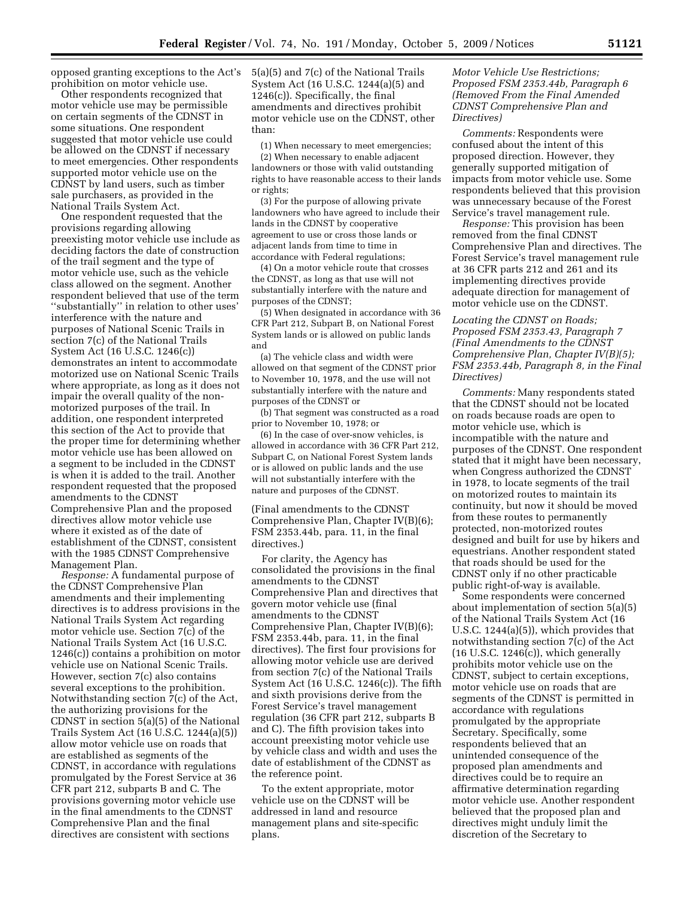opposed granting exceptions to the Act's prohibition on motor vehicle use.

Other respondents recognized that motor vehicle use may be permissible on certain segments of the CDNST in some situations. One respondent suggested that motor vehicle use could be allowed on the CDNST if necessary to meet emergencies. Other respondents supported motor vehicle use on the CDNST by land users, such as timber sale purchasers, as provided in the National Trails System Act.

One respondent requested that the provisions regarding allowing preexisting motor vehicle use include as deciding factors the date of construction of the trail segment and the type of motor vehicle use, such as the vehicle class allowed on the segment. Another respondent believed that use of the term ''substantially'' in relation to other uses' interference with the nature and purposes of National Scenic Trails in section 7(c) of the National Trails System Act (16 U.S.C. 1246(c)) demonstrates an intent to accommodate motorized use on National Scenic Trails where appropriate, as long as it does not impair the overall quality of the nonmotorized purposes of the trail. In addition, one respondent interpreted this section of the Act to provide that the proper time for determining whether motor vehicle use has been allowed on a segment to be included in the CDNST is when it is added to the trail. Another respondent requested that the proposed amendments to the CDNST Comprehensive Plan and the proposed directives allow motor vehicle use where it existed as of the date of establishment of the CDNST, consistent with the 1985 CDNST Comprehensive Management Plan.

*Response:* A fundamental purpose of the CDNST Comprehensive Plan amendments and their implementing directives is to address provisions in the National Trails System Act regarding motor vehicle use. Section 7(c) of the National Trails System Act (16 U.S.C. 1246(c)) contains a prohibition on motor vehicle use on National Scenic Trails. However, section 7(c) also contains several exceptions to the prohibition. Notwithstanding section 7(c) of the Act, the authorizing provisions for the CDNST in section 5(a)(5) of the National Trails System Act (16 U.S.C. 1244(a)(5)) allow motor vehicle use on roads that are established as segments of the CDNST, in accordance with regulations promulgated by the Forest Service at 36 CFR part 212, subparts B and C. The provisions governing motor vehicle use in the final amendments to the CDNST Comprehensive Plan and the final directives are consistent with sections

5(a)(5) and 7(c) of the National Trails System Act (16 U.S.C. 1244(a)(5) and 1246(c)). Specifically, the final amendments and directives prohibit motor vehicle use on the CDNST, other than:

(1) When necessary to meet emergencies; (2) When necessary to enable adjacent landowners or those with valid outstanding rights to have reasonable access to their lands or rights;

(3) For the purpose of allowing private landowners who have agreed to include their lands in the CDNST by cooperative agreement to use or cross those lands or adjacent lands from time to time in accordance with Federal regulations;

(4) On a motor vehicle route that crosses the CDNST, as long as that use will not substantially interfere with the nature and purposes of the CDNST;

(5) When designated in accordance with 36 CFR Part 212, Subpart B, on National Forest System lands or is allowed on public lands and

(a) The vehicle class and width were allowed on that segment of the CDNST prior to November 10, 1978, and the use will not substantially interfere with the nature and purposes of the CDNST or

(b) That segment was constructed as a road prior to November 10, 1978; or

(6) In the case of over-snow vehicles, is allowed in accordance with 36 CFR Part 212, Subpart C, on National Forest System lands or is allowed on public lands and the use will not substantially interfere with the nature and purposes of the CDNST.

(Final amendments to the CDNST Comprehensive Plan, Chapter IV(B)(6); FSM 2353.44b, para. 11, in the final directives.)

For clarity, the Agency has consolidated the provisions in the final amendments to the CDNST Comprehensive Plan and directives that govern motor vehicle use (final amendments to the CDNST Comprehensive Plan, Chapter IV(B)(6); FSM 2353.44b, para. 11, in the final directives). The first four provisions for allowing motor vehicle use are derived from section 7(c) of the National Trails System Act (16 U.S.C. 1246(c)). The fifth and sixth provisions derive from the Forest Service's travel management regulation (36 CFR part 212, subparts B and C). The fifth provision takes into account preexisting motor vehicle use by vehicle class and width and uses the date of establishment of the CDNST as the reference point.

To the extent appropriate, motor vehicle use on the CDNST will be addressed in land and resource management plans and site-specific plans.

# *Motor Vehicle Use Restrictions; Proposed FSM 2353.44b, Paragraph 6 (Removed From the Final Amended CDNST Comprehensive Plan and Directives)*

*Comments:* Respondents were confused about the intent of this proposed direction. However, they generally supported mitigation of impacts from motor vehicle use. Some respondents believed that this provision was unnecessary because of the Forest Service's travel management rule.

*Response:* This provision has been removed from the final CDNST Comprehensive Plan and directives. The Forest Service's travel management rule at 36 CFR parts 212 and 261 and its implementing directives provide adequate direction for management of motor vehicle use on the CDNST.

*Locating the CDNST on Roads; Proposed FSM 2353.43, Paragraph 7 (Final Amendments to the CDNST Comprehensive Plan, Chapter IV(B)(5); FSM 2353.44b, Paragraph 8, in the Final Directives)* 

*Comments:* Many respondents stated that the CDNST should not be located on roads because roads are open to motor vehicle use, which is incompatible with the nature and purposes of the CDNST. One respondent stated that it might have been necessary, when Congress authorized the CDNST in 1978, to locate segments of the trail on motorized routes to maintain its continuity, but now it should be moved from these routes to permanently protected, non-motorized routes designed and built for use by hikers and equestrians. Another respondent stated that roads should be used for the CDNST only if no other practicable public right-of-way is available.

Some respondents were concerned about implementation of section 5(a)(5) of the National Trails System Act (16 U.S.C. 1244(a)(5)), which provides that notwithstanding section 7(c) of the Act  $(16 \text{ U.S.C. } 1246\bar{c})$ ), which generally prohibits motor vehicle use on the CDNST, subject to certain exceptions, motor vehicle use on roads that are segments of the CDNST is permitted in accordance with regulations promulgated by the appropriate Secretary. Specifically, some respondents believed that an unintended consequence of the proposed plan amendments and directives could be to require an affirmative determination regarding motor vehicle use. Another respondent believed that the proposed plan and directives might unduly limit the discretion of the Secretary to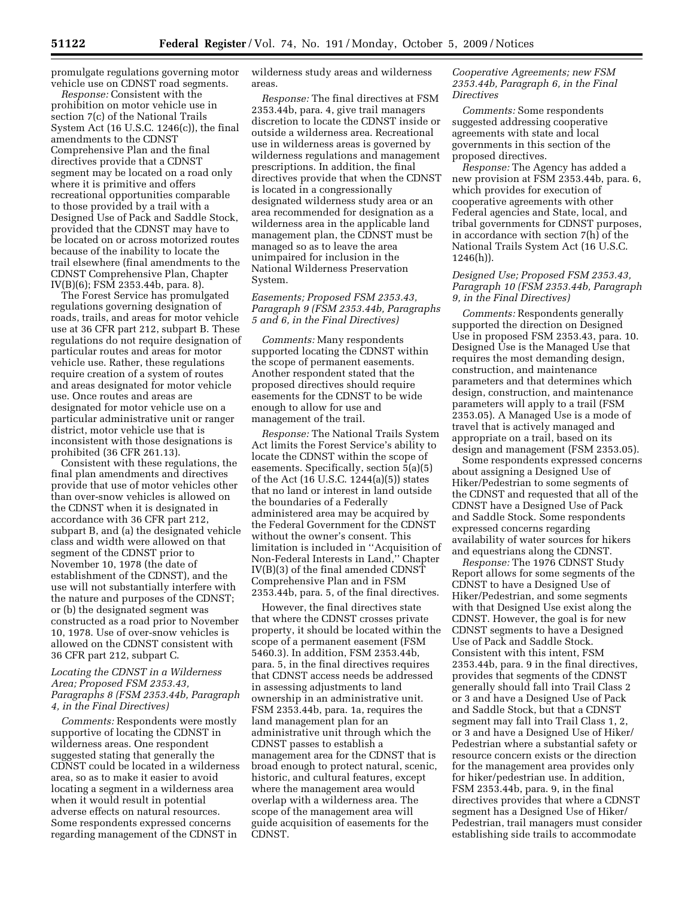promulgate regulations governing motor vehicle use on CDNST road segments.

*Response:* Consistent with the prohibition on motor vehicle use in section 7(c) of the National Trails System Act (16 U.S.C. 1246(c)), the final amendments to the CDNST Comprehensive Plan and the final directives provide that a CDNST segment may be located on a road only where it is primitive and offers recreational opportunities comparable to those provided by a trail with a Designed Use of Pack and Saddle Stock, provided that the CDNST may have to be located on or across motorized routes because of the inability to locate the trail elsewhere (final amendments to the CDNST Comprehensive Plan, Chapter IV(B)(6); FSM 2353.44b, para. 8).

The Forest Service has promulgated regulations governing designation of roads, trails, and areas for motor vehicle use at 36 CFR part 212, subpart B. These regulations do not require designation of particular routes and areas for motor vehicle use. Rather, these regulations require creation of a system of routes and areas designated for motor vehicle use. Once routes and areas are designated for motor vehicle use on a particular administrative unit or ranger district, motor vehicle use that is inconsistent with those designations is prohibited (36 CFR 261.13).

Consistent with these regulations, the final plan amendments and directives provide that use of motor vehicles other than over-snow vehicles is allowed on the CDNST when it is designated in accordance with 36 CFR part 212, subpart B, and (a) the designated vehicle class and width were allowed on that segment of the CDNST prior to November 10, 1978 (the date of establishment of the CDNST), and the use will not substantially interfere with the nature and purposes of the CDNST; or (b) the designated segment was constructed as a road prior to November 10, 1978. Use of over-snow vehicles is allowed on the CDNST consistent with 36 CFR part 212, subpart C.

### *Locating the CDNST in a Wilderness Area; Proposed FSM 2353.43, Paragraphs 8 (FSM 2353.44b, Paragraph 4, in the Final Directives)*

*Comments:* Respondents were mostly supportive of locating the CDNST in wilderness areas. One respondent suggested stating that generally the CDNST could be located in a wilderness area, so as to make it easier to avoid locating a segment in a wilderness area when it would result in potential adverse effects on natural resources. Some respondents expressed concerns regarding management of the CDNST in

wilderness study areas and wilderness areas.

*Response:* The final directives at FSM 2353.44b, para. 4, give trail managers discretion to locate the CDNST inside or outside a wilderness area. Recreational use in wilderness areas is governed by wilderness regulations and management prescriptions. In addition, the final directives provide that when the CDNST is located in a congressionally designated wilderness study area or an area recommended for designation as a wilderness area in the applicable land management plan, the CDNST must be managed so as to leave the area unimpaired for inclusion in the National Wilderness Preservation System.

## *Easements; Proposed FSM 2353.43, Paragraph 9 (FSM 2353.44b, Paragraphs 5 and 6, in the Final Directives)*

*Comments:* Many respondents supported locating the CDNST within the scope of permanent easements. Another respondent stated that the proposed directives should require easements for the CDNST to be wide enough to allow for use and management of the trail.

*Response:* The National Trails System Act limits the Forest Service's ability to locate the CDNST within the scope of easements. Specifically, section 5(a)(5) of the Act (16 U.S.C. 1244(a)(5)) states that no land or interest in land outside the boundaries of a Federally administered area may be acquired by the Federal Government for the CDNST without the owner's consent. This limitation is included in ''Acquisition of Non-Federal Interests in Land,'' Chapter IV(B)(3) of the final amended CDNST Comprehensive Plan and in FSM 2353.44b, para. 5, of the final directives.

However, the final directives state that where the CDNST crosses private property, it should be located within the scope of a permanent easement (FSM 5460.3). In addition, FSM 2353.44b, para. 5, in the final directives requires that CDNST access needs be addressed in assessing adjustments to land ownership in an administrative unit. FSM 2353.44b, para. 1a, requires the land management plan for an administrative unit through which the CDNST passes to establish a management area for the CDNST that is broad enough to protect natural, scenic, historic, and cultural features, except where the management area would overlap with a wilderness area. The scope of the management area will guide acquisition of easements for the CDNST.

### *Cooperative Agreements; new FSM 2353.44b, Paragraph 6, in the Final Directives*

*Comments:* Some respondents suggested addressing cooperative agreements with state and local governments in this section of the proposed directives.

*Response:* The Agency has added a new provision at FSM 2353.44b, para. 6, which provides for execution of cooperative agreements with other Federal agencies and State, local, and tribal governments for CDNST purposes, in accordance with section 7(h) of the National Trails System Act (16 U.S.C.  $1246(h)$ ).

### *Designed Use; Proposed FSM 2353.43, Paragraph 10 (FSM 2353.44b, Paragraph 9, in the Final Directives)*

*Comments:* Respondents generally supported the direction on Designed Use in proposed FSM 2353.43, para. 10. Designed Use is the Managed Use that requires the most demanding design, construction, and maintenance parameters and that determines which design, construction, and maintenance parameters will apply to a trail (FSM 2353.05). A Managed Use is a mode of travel that is actively managed and appropriate on a trail, based on its design and management (FSM 2353.05).

Some respondents expressed concerns about assigning a Designed Use of Hiker/Pedestrian to some segments of the CDNST and requested that all of the CDNST have a Designed Use of Pack and Saddle Stock. Some respondents expressed concerns regarding availability of water sources for hikers and equestrians along the CDNST.

*Response:* The 1976 CDNST Study Report allows for some segments of the CDNST to have a Designed Use of Hiker/Pedestrian, and some segments with that Designed Use exist along the CDNST. However, the goal is for new CDNST segments to have a Designed Use of Pack and Saddle Stock. Consistent with this intent, FSM 2353.44b, para. 9 in the final directives, provides that segments of the CDNST generally should fall into Trail Class 2 or 3 and have a Designed Use of Pack and Saddle Stock, but that a CDNST segment may fall into Trail Class 1, 2, or 3 and have a Designed Use of Hiker/ Pedestrian where a substantial safety or resource concern exists or the direction for the management area provides only for hiker/pedestrian use. In addition, FSM 2353.44b, para. 9, in the final directives provides that where a CDNST segment has a Designed Use of Hiker/ Pedestrian, trail managers must consider establishing side trails to accommodate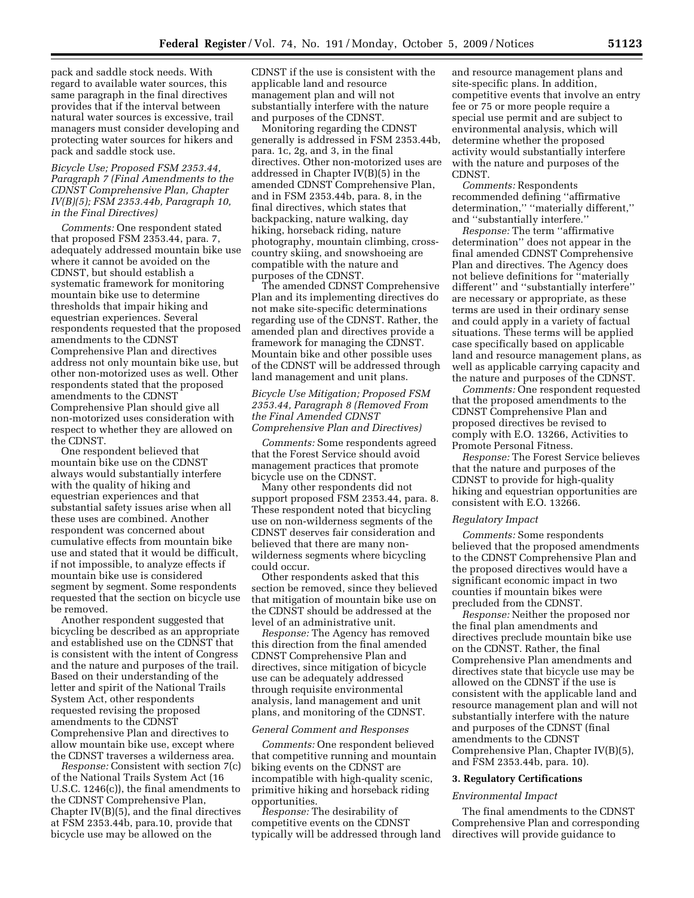pack and saddle stock needs. With regard to available water sources, this same paragraph in the final directives provides that if the interval between natural water sources is excessive, trail managers must consider developing and protecting water sources for hikers and pack and saddle stock use.

### *Bicycle Use; Proposed FSM 2353.44, Paragraph 7 (Final Amendments to the CDNST Comprehensive Plan, Chapter IV(B)(5); FSM 2353.44b, Paragraph 10, in the Final Directives)*

*Comments:* One respondent stated that proposed FSM 2353.44, para. 7, adequately addressed mountain bike use where it cannot be avoided on the CDNST, but should establish a systematic framework for monitoring mountain bike use to determine thresholds that impair hiking and equestrian experiences. Several respondents requested that the proposed amendments to the CDNST Comprehensive Plan and directives address not only mountain bike use, but other non-motorized uses as well. Other respondents stated that the proposed amendments to the CDNST Comprehensive Plan should give all non-motorized uses consideration with respect to whether they are allowed on the CDNST.

One respondent believed that mountain bike use on the CDNST always would substantially interfere with the quality of hiking and equestrian experiences and that substantial safety issues arise when all these uses are combined. Another respondent was concerned about cumulative effects from mountain bike use and stated that it would be difficult, if not impossible, to analyze effects if mountain bike use is considered segment by segment. Some respondents requested that the section on bicycle use be removed.

Another respondent suggested that bicycling be described as an appropriate and established use on the CDNST that is consistent with the intent of Congress and the nature and purposes of the trail. Based on their understanding of the letter and spirit of the National Trails System Act, other respondents requested revising the proposed amendments to the CDNST Comprehensive Plan and directives to allow mountain bike use, except where the CDNST traverses a wilderness area.

*Response:* Consistent with section 7(c) of the National Trails System Act (16 U.S.C. 1246(c)), the final amendments to the CDNST Comprehensive Plan, Chapter IV(B)(5), and the final directives at FSM 2353.44b, para.10, provide that bicycle use may be allowed on the

CDNST if the use is consistent with the applicable land and resource management plan and will not substantially interfere with the nature and purposes of the CDNST.

Monitoring regarding the CDNST generally is addressed in FSM 2353.44b, para. 1c, 2g, and 3, in the final directives. Other non-motorized uses are addressed in Chapter IV(B)(5) in the amended CDNST Comprehensive Plan, and in FSM 2353.44b, para. 8, in the final directives, which states that backpacking, nature walking, day hiking, horseback riding, nature photography, mountain climbing, crosscountry skiing, and snowshoeing are compatible with the nature and purposes of the CDNST.

The amended CDNST Comprehensive Plan and its implementing directives do not make site-specific determinations regarding use of the CDNST. Rather, the amended plan and directives provide a framework for managing the CDNST. Mountain bike and other possible uses of the CDNST will be addressed through land management and unit plans.

#### *Bicycle Use Mitigation; Proposed FSM 2353.44, Paragraph 8 (Removed From the Final Amended CDNST Comprehensive Plan and Directives)*

*Comments:* Some respondents agreed that the Forest Service should avoid management practices that promote bicycle use on the CDNST.

Many other respondents did not support proposed FSM 2353.44, para. 8. These respondent noted that bicycling use on non-wilderness segments of the CDNST deserves fair consideration and believed that there are many nonwilderness segments where bicycling could occur.

Other respondents asked that this section be removed, since they believed that mitigation of mountain bike use on the CDNST should be addressed at the level of an administrative unit.

*Response:* The Agency has removed this direction from the final amended CDNST Comprehensive Plan and directives, since mitigation of bicycle use can be adequately addressed through requisite environmental analysis, land management and unit plans, and monitoring of the CDNST.

#### *General Comment and Responses*

*Comments:* One respondent believed that competitive running and mountain biking events on the CDNST are incompatible with high-quality scenic, primitive hiking and horseback riding opportunities.

*Response:* The desirability of competitive events on the CDNST typically will be addressed through land and resource management plans and site-specific plans. In addition, competitive events that involve an entry fee or 75 or more people require a special use permit and are subject to environmental analysis, which will determine whether the proposed activity would substantially interfere with the nature and purposes of the CDNST.

*Comments:* Respondents recommended defining ''affirmative determination,'' ''materially different,'' and ''substantially interfere.''

*Response:* The term ''affirmative determination'' does not appear in the final amended CDNST Comprehensive Plan and directives. The Agency does not believe definitions for ''materially different'' and ''substantially interfere'' are necessary or appropriate, as these terms are used in their ordinary sense and could apply in a variety of factual situations. These terms will be applied case specifically based on applicable land and resource management plans, as well as applicable carrying capacity and the nature and purposes of the CDNST.

*Comments:* One respondent requested that the proposed amendments to the CDNST Comprehensive Plan and proposed directives be revised to comply with E.O. 13266, Activities to Promote Personal Fitness.

*Response:* The Forest Service believes that the nature and purposes of the CDNST to provide for high-quality hiking and equestrian opportunities are consistent with E.O. 13266.

#### *Regulatory Impact*

*Comments:* Some respondents believed that the proposed amendments to the CDNST Comprehensive Plan and the proposed directives would have a significant economic impact in two counties if mountain bikes were precluded from the CDNST.

*Response:* Neither the proposed nor the final plan amendments and directives preclude mountain bike use on the CDNST. Rather, the final Comprehensive Plan amendments and directives state that bicycle use may be allowed on the CDNST if the use is consistent with the applicable land and resource management plan and will not substantially interfere with the nature and purposes of the CDNST (final amendments to the CDNST Comprehensive Plan, Chapter IV(B)(5), and FSM 2353.44b, para. 10).

# **3. Regulatory Certifications**

#### *Environmental Impact*

The final amendments to the CDNST Comprehensive Plan and corresponding directives will provide guidance to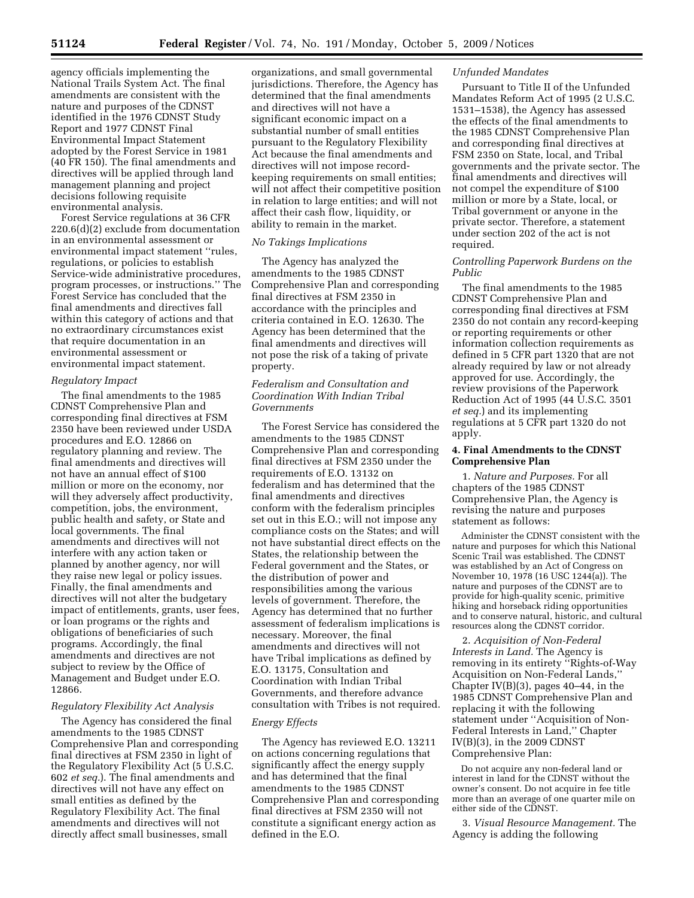agency officials implementing the National Trails System Act. The final amendments are consistent with the nature and purposes of the CDNST identified in the 1976 CDNST Study Report and 1977 CDNST Final Environmental Impact Statement adopted by the Forest Service in 1981 (40 FR 150). The final amendments and directives will be applied through land management planning and project decisions following requisite environmental analysis.

Forest Service regulations at 36 CFR 220.6(d)(2) exclude from documentation in an environmental assessment or environmental impact statement ''rules, regulations, or policies to establish Service-wide administrative procedures, program processes, or instructions.'' The Forest Service has concluded that the final amendments and directives fall within this category of actions and that no extraordinary circumstances exist that require documentation in an environmental assessment or environmental impact statement.

#### *Regulatory Impact*

The final amendments to the 1985 CDNST Comprehensive Plan and corresponding final directives at FSM 2350 have been reviewed under USDA procedures and E.O. 12866 on regulatory planning and review. The final amendments and directives will not have an annual effect of \$100 million or more on the economy, nor will they adversely affect productivity, competition, jobs, the environment, public health and safety, or State and local governments. The final amendments and directives will not interfere with any action taken or planned by another agency, nor will they raise new legal or policy issues. Finally, the final amendments and directives will not alter the budgetary impact of entitlements, grants, user fees, or loan programs or the rights and obligations of beneficiaries of such programs. Accordingly, the final amendments and directives are not subject to review by the Office of Management and Budget under E.O. 12866.

#### *Regulatory Flexibility Act Analysis*

The Agency has considered the final amendments to the 1985 CDNST Comprehensive Plan and corresponding final directives at FSM 2350 in light of the Regulatory Flexibility Act (5 U.S.C. 602 *et seq.*). The final amendments and directives will not have any effect on small entities as defined by the Regulatory Flexibility Act. The final amendments and directives will not directly affect small businesses, small

organizations, and small governmental jurisdictions. Therefore, the Agency has determined that the final amendments and directives will not have a significant economic impact on a substantial number of small entities pursuant to the Regulatory Flexibility Act because the final amendments and directives will not impose recordkeeping requirements on small entities; will not affect their competitive position in relation to large entities; and will not affect their cash flow, liquidity, or ability to remain in the market.

#### *No Takings Implications*

The Agency has analyzed the amendments to the 1985 CDNST Comprehensive Plan and corresponding final directives at FSM 2350 in accordance with the principles and criteria contained in E.O. 12630. The Agency has been determined that the final amendments and directives will not pose the risk of a taking of private property.

### *Federalism and Consultation and Coordination With Indian Tribal Governments*

The Forest Service has considered the amendments to the 1985 CDNST Comprehensive Plan and corresponding final directives at FSM 2350 under the requirements of E.O. 13132 on federalism and has determined that the final amendments and directives conform with the federalism principles set out in this E.O.; will not impose any compliance costs on the States; and will not have substantial direct effects on the States, the relationship between the Federal government and the States, or the distribution of power and responsibilities among the various levels of government. Therefore, the Agency has determined that no further assessment of federalism implications is necessary. Moreover, the final amendments and directives will not have Tribal implications as defined by E.O. 13175, Consultation and Coordination with Indian Tribal Governments, and therefore advance consultation with Tribes is not required.

#### *Energy Effects*

The Agency has reviewed E.O. 13211 on actions concerning regulations that significantly affect the energy supply and has determined that the final amendments to the 1985 CDNST Comprehensive Plan and corresponding final directives at FSM 2350 will not constitute a significant energy action as defined in the E.O.

#### *Unfunded Mandates*

Pursuant to Title II of the Unfunded Mandates Reform Act of 1995 (2 U.S.C. 1531–1538), the Agency has assessed the effects of the final amendments to the 1985 CDNST Comprehensive Plan and corresponding final directives at FSM 2350 on State, local, and Tribal governments and the private sector. The final amendments and directives will not compel the expenditure of \$100 million or more by a State, local, or Tribal government or anyone in the private sector. Therefore, a statement under section 202 of the act is not required.

### *Controlling Paperwork Burdens on the Public*

The final amendments to the 1985 CDNST Comprehensive Plan and corresponding final directives at FSM 2350 do not contain any record-keeping or reporting requirements or other information collection requirements as defined in 5 CFR part 1320 that are not already required by law or not already approved for use. Accordingly, the review provisions of the Paperwork Reduction Act of 1995 (44 U.S.C. 3501 *et seq.*) and its implementing regulations at 5 CFR part 1320 do not apply.

#### **4. Final Amendments to the CDNST Comprehensive Plan**

1. *Nature and Purposes.* For all chapters of the 1985 CDNST Comprehensive Plan, the Agency is revising the nature and purposes statement as follows:

Administer the CDNST consistent with the nature and purposes for which this National Scenic Trail was established. The CDNST was established by an Act of Congress on November 10, 1978 (16 USC 1244(a)). The nature and purposes of the CDNST are to provide for high-quality scenic, primitive hiking and horseback riding opportunities and to conserve natural, historic, and cultural resources along the CDNST corridor.

2. *Acquisition of Non-Federal Interests in Land.* The Agency is removing in its entirety ''Rights-of-Way Acquisition on Non-Federal Lands,'' Chapter IV(B)(3), pages 40–44, in the 1985 CDNST Comprehensive Plan and replacing it with the following statement under ''Acquisition of Non-Federal Interests in Land,'' Chapter IV(B)(3), in the 2009 CDNST Comprehensive Plan:

Do not acquire any non-federal land or interest in land for the CDNST without the owner's consent. Do not acquire in fee title more than an average of one quarter mile on either side of the CDNST.

3. *Visual Resource Management.* The Agency is adding the following